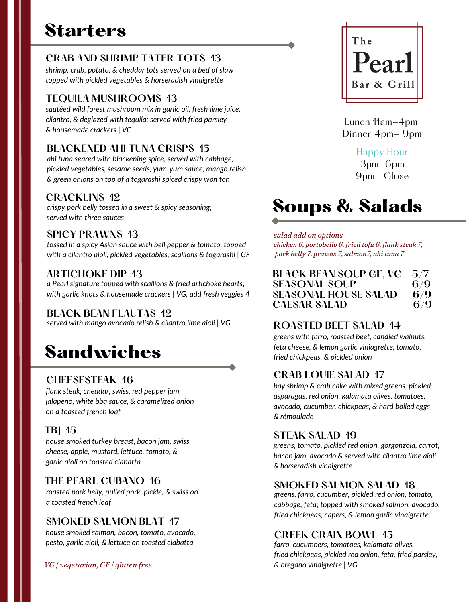# **Starters**

## **CRAB AND SHRIMP TATER TOTS 13**

*shrimp, crab, potato, & cheddar tots served on a bed of slaw topped with pickled vegetables & horseradish vinaigrette*

#### **TEQUILA MUSHROOMS 13**

*sautéed wild forest mushroom mix in garlic oil, fresh lime juice, cilantro, & deglazed with tequila; served with fried parsley & housemade crackers | VG*

#### **BLACKENED AHI TUNA CRISPS 15**

*ahi tuna seared with blackening spice, served with cabbage, pickled vegetables, sesame seeds, yum-yum sauce, mango relish & green onions on top of a togarashi spiced crispy won ton*

#### **CRACKLINS 12**

*crispy pork belly tossed in a sweet & spicy seasoning; served with three sauces*

#### **SPICY PRAWNS 13**

*tossed in a spicy Asian sauce with bell pepper & tomato, topped with a cilantro aioli, pickled vegetables, scallions & togarashi | GF*

#### **ARTICHOKE DIP 13**

*a Pearl signature topped with scallions & fried artichoke hearts; with garlic knots & housemade crackers | VG, add fresh veggies 4*

#### **BLACK BEAN FLAUTAS 12**

*served with mango avocado relish & cilantro lime aioli | VG*

# Sandwiches

#### **CHEESESTEAK 16**

*flank steak, cheddar, swiss, red pepper jam, jalapeno, white bbq sauce, & caramelized onion on a toasted french loaf*

#### **TBJ 15**

*house smoked turkey breast, bacon jam, swiss cheese, apple, mustard, lettuce, tomato, & garlic aioli on toasted ciabatta*

#### **THE PEARL CUBANO 16**

*roasted pork belly, pulled pork, pickle, & swiss on a toasted french loaf*

#### **SMOKED SALMON BLAT 17**

*house smoked salmon, bacon, tomato, avocado, pesto, garlic aioli, & lettuce on toasted ciabatta*

*VG | vegetarian, GF | gluten free*



Lunch 11am-4pm Dinner 4pm- 9pm

Happy Hour

3pm-6pm 9pm- Close

# Soups & Salads

#### *salad add on options*

*chicken 6, portobello 6, fried tofu 6, flank steak 7, pork belly 7, prawns 7, salmon7, ahi tuna 7*

| <b>BLACK BEAN SOUP GF, VG</b> 5/7 |     |
|-----------------------------------|-----|
| <b>SEASONAL SOUP</b>              | 6/9 |
| <b>SEASONAL HOUSE SALAD</b>       | 6/9 |
| <b>CAESAR SALAD</b>               | 6/9 |

## **ROASTED BEET SALAD 14**

*greens with farro, roasted beet, candied walnuts, feta cheese, & lemon garlic viniagrette, tomato, fried chickpeas, & pickled onion*

#### **CRAB LOUIE SALAD 17**

*bay shrimp & crab cake with mixed greens, pickled asparagus, red onion, kalamata olives, tomatoes, avocado, cucumber, chickpeas, & hard boiled eggs & rémoulade*

#### **STEAK SALAD 19**

*greens, tomato, pickled red onion, gorgonzola, carrot, bacon jam, avocado & served with cilantro lime aioli & horseradish vinaigrette*

#### **SMOKED SALMON SALAD 18**

*greens, farro, cucumber, pickled red onion, tomato, cabbage, feta; topped with smoked salmon, avocado, fried chickpeas, capers, & lemon garlic vinaigrette*

#### **GREEK GRAIN BOWL 15**

*farro, cucumbers, tomatoes, kalamata olives, fried chickpeas, pickled red onion, feta, fried parsley, & oregano vinaigrette | VG*